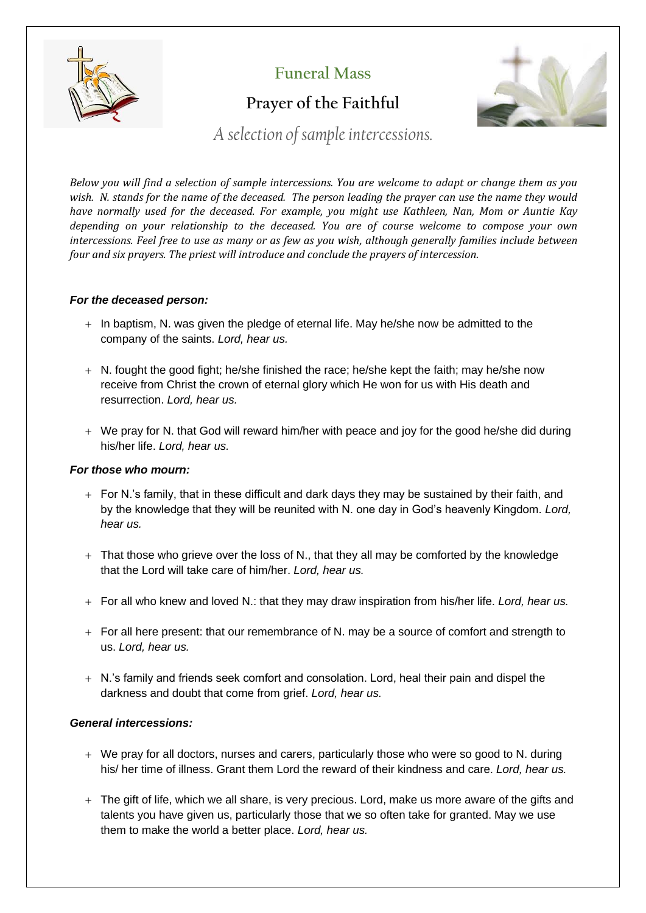

**Funeral Mass**

# **Prayer of the Faithful**



*A selection of sample intercessions.*

*Below you will find a selection of sample intercessions. You are welcome to adapt or change them as you wish. N. stands for the name of the deceased. The person leading the prayer can use the name they would have normally used for the deceased. For example, you might use Kathleen, Nan, Mom or Auntie Kay depending on your relationship to the deceased. You are of course welcome to compose your own intercessions. Feel free to use as many or as few as you wish, although generally families include between four and six prayers. The priest will introduce and conclude the prayers of intercession.*

## *For the deceased person:*

- + In baptism, N. was given the pledge of eternal life. May he/she now be admitted to the company of the saints. *Lord, hear us.*
- $+$  N. fought the good fight; he/she finished the race; he/she kept the faith; may he/she now receive from Christ the crown of eternal glory which He won for us with His death and resurrection. *Lord, hear us.*
- + We pray for N. that God will reward him/her with peace and joy for the good he/she did during his/her life. *Lord, hear us.*

## *For those who mourn:*

- $+$  For N.'s family, that in these difficult and dark days they may be sustained by their faith, and by the knowledge that they will be reunited with N. one day in God's heavenly Kingdom. *Lord, hear us.*
- $+$  That those who grieve over the loss of N., that they all may be comforted by the knowledge that the Lord will take care of him/her. *Lord, hear us.*
- + For all who knew and loved N.: that they may draw inspiration from his/her life. *Lord, hear us.*
- + For all here present: that our remembrance of N. may be a source of comfort and strength to us. *Lord, hear us.*
- + N.'s family and friends seek comfort and consolation. Lord, heal their pain and dispel the darkness and doubt that come from grief. *Lord, hear us.*

### *General intercessions:*

- + We pray for all doctors, nurses and carers, particularly those who were so good to N. during his/ her time of illness. Grant them Lord the reward of their kindness and care. *Lord, hear us.*
- + The gift of life, which we all share, is very precious. Lord, make us more aware of the gifts and talents you have given us, particularly those that we so often take for granted. May we use them to make the world a better place. *Lord, hear us.*